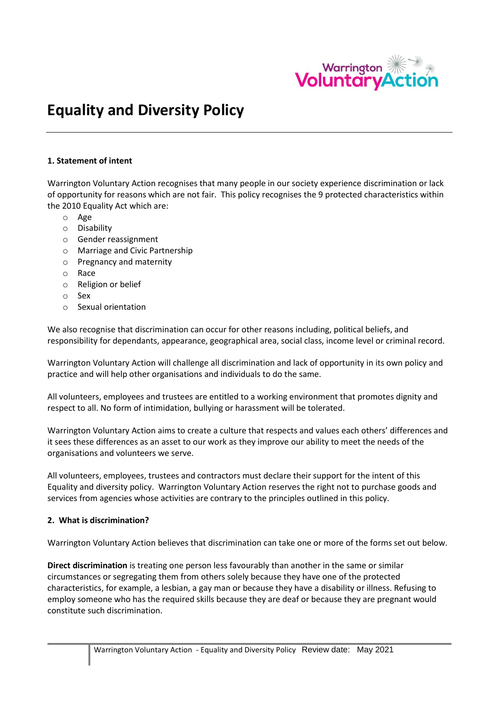

# **Equality and Diversity Policy**

## **1. Statement of intent**

Warrington Voluntary Action recognises that many people in our society experience discrimination or lack of opportunity for reasons which are not fair. This policy recognises the 9 protected characteristics within the 2010 Equality Act which are:

- o Age
- o Disability
- o Gender reassignment
- o Marriage and Civic Partnership
- o Pregnancy and maternity
- o Race
- o Religion or belief
- o Sex
- o Sexual orientation

We also recognise that discrimination can occur for other reasons including, political beliefs, and responsibility for dependants, appearance, geographical area, social class, income level or criminal record.

Warrington Voluntary Action will challenge all discrimination and lack of opportunity in its own policy and practice and will help other organisations and individuals to do the same.

All volunteers, employees and trustees are entitled to a working environment that promotes dignity and respect to all. No form of intimidation, bullying or harassment will be tolerated.

Warrington Voluntary Action aims to create a culture that respects and values each others' differences and it sees these differences as an asset to our work as they improve our ability to meet the needs of the organisations and volunteers we serve.

All volunteers, employees, trustees and contractors must declare their support for the intent of this Equality and diversity policy. Warrington Voluntary Action reserves the right not to purchase goods and services from agencies whose activities are contrary to the principles outlined in this policy.

## **2. What is discrimination?**

Warrington Voluntary Action believes that discrimination can take one or more of the forms set out below.

**Direct discrimination** is treating one person less favourably than another in the same or similar circumstances or segregating them from others solely because they have one of the protected characteristics, for example, a lesbian, a gay man or because they have a disability or illness. Refusing to employ someone who has the required skills because they are deaf or because they are pregnant would constitute such discrimination.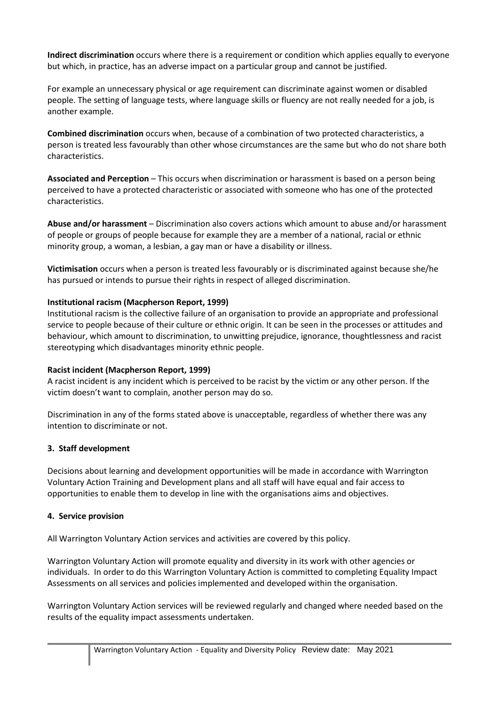**Indirect discrimination** occurs where there is a requirement or condition which applies equally to everyone but which, in practice, has an adverse impact on a particular group and cannot be justified.

For example an unnecessary physical or age requirement can discriminate against women or disabled people. The setting of language tests, where language skills or fluency are not really needed for a job, is another example.

**Combined discrimination** occurs when, because of a combination of two protected characteristics, a person is treated less favourably than other whose circumstances are the same but who do not share both characteristics.

**Associated and Perception** – This occurs when discrimination or harassment is based on a person being perceived to have a protected characteristic or associated with someone who has one of the protected characteristics.

**Abuse and/or harassment** – Discrimination also covers actions which amount to abuse and/or harassment of people or groups of people because for example they are a member of a national, racial or ethnic minority group, a woman, a lesbian, a gay man or have a disability or illness.

**Victimisation** occurs when a person is treated less favourably or is discriminated against because she/he has pursued or intends to pursue their rights in respect of alleged discrimination.

## **Institutional racism (Macpherson Report, 1999)**

Institutional racism is the collective failure of an organisation to provide an appropriate and professional service to people because of their culture or ethnic origin. It can be seen in the processes or attitudes and behaviour, which amount to discrimination, to unwitting prejudice, ignorance, thoughtlessness and racist stereotyping which disadvantages minority ethnic people.

## **Racist incident (Macpherson Report, 1999)**

A racist incident is any incident which is perceived to be racist by the victim or any other person. If the victim doesn't want to complain, another person may do so.

Discrimination in any of the forms stated above is unacceptable, regardless of whether there was any intention to discriminate or not.

## **3. Staff development**

Decisions about learning and development opportunities will be made in accordance with Warrington Voluntary Action Training and Development plans and all staff will have equal and fair access to opportunities to enable them to develop in line with the organisations aims and objectives.

## **4. Service provision**

All Warrington Voluntary Action services and activities are covered by this policy.

Warrington Voluntary Action will promote equality and diversity in its work with other agencies or individuals. In order to do this Warrington Voluntary Action is committed to completing Equality Impact Assessments on all services and policies implemented and developed within the organisation.

Warrington Voluntary Action services will be reviewed regularly and changed where needed based on the results of the equality impact assessments undertaken.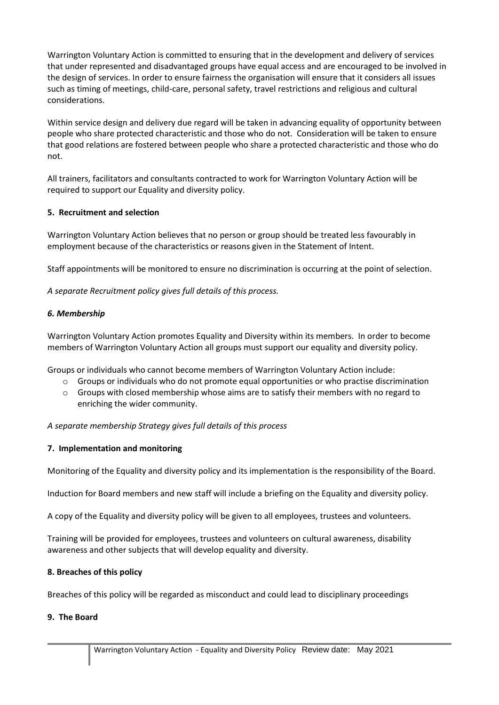Warrington Voluntary Action is committed to ensuring that in the development and delivery of services that under represented and disadvantaged groups have equal access and are encouraged to be involved in the design of services. In order to ensure fairness the organisation will ensure that it considers all issues such as timing of meetings, child-care, personal safety, travel restrictions and religious and cultural considerations.

Within service design and delivery due regard will be taken in advancing equality of opportunity between people who share protected characteristic and those who do not. Consideration will be taken to ensure that good relations are fostered between people who share a protected characteristic and those who do not.

All trainers, facilitators and consultants contracted to work for Warrington Voluntary Action will be required to support our Equality and diversity policy.

## **5. Recruitment and selection**

Warrington Voluntary Action believes that no person or group should be treated less favourably in employment because of the characteristics or reasons given in the Statement of Intent.

Staff appointments will be monitored to ensure no discrimination is occurring at the point of selection.

*A separate Recruitment policy gives full details of this process.*

# *6. Membership*

Warrington Voluntary Action promotes Equality and Diversity within its members. In order to become members of Warrington Voluntary Action all groups must support our equality and diversity policy.

Groups or individuals who cannot become members of Warrington Voluntary Action include:

- o Groups or individuals who do not promote equal opportunities or who practise discrimination
- o Groups with closed membership whose aims are to satisfy their members with no regard to enriching the wider community.

*A separate membership Strategy gives full details of this process*

# **7. Implementation and monitoring**

Monitoring of the Equality and diversity policy and its implementation is the responsibility of the Board.

Induction for Board members and new staff will include a briefing on the Equality and diversity policy.

A copy of the Equality and diversity policy will be given to all employees, trustees and volunteers.

Training will be provided for employees, trustees and volunteers on cultural awareness, disability awareness and other subjects that will develop equality and diversity.

## **8. Breaches of this policy**

Breaches of this policy will be regarded as misconduct and could lead to disciplinary proceedings

## **9. The Board**